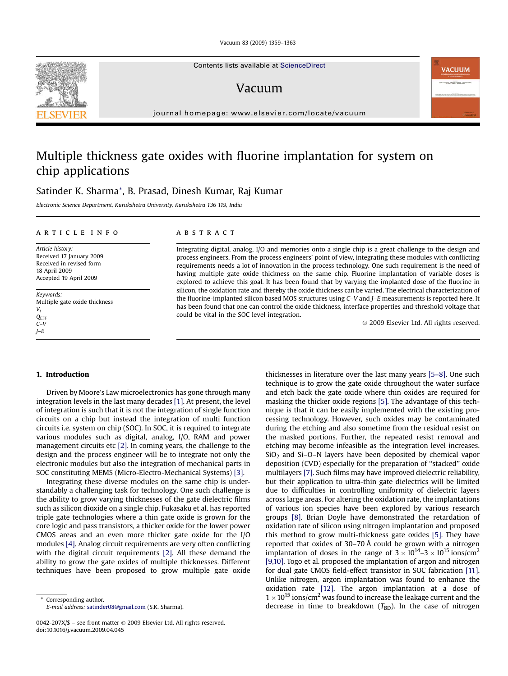Vacuum 83 (2009) 1359–1363

Contents lists available at [ScienceDirect](www.sciencedirect.com/science/journal/0042207X)

## Vacuum

journal homepage: [www.elsevier.com/locate/vacuum](http://www.elsevier.com/locate/vacuum)

# Multiple thickness gate oxides with fluorine implantation for system on chip applications

### Satinder K. Sharma\*, B. Prasad, Dinesh Kumar, Raj Kumar

Electronic Science Department, Kurukshetra University, Kurukshetra 136 119, India

#### article info

Article history: Received 17 January 2009 Received in revised form 18 April 2009 Accepted 19 April 2009

Keywords: Multiple gate oxide thickness  $V_{t}$ **QEFF**  $C-V$ J–E

#### **ABSTRACT**

Integrating digital, analog, I/O and memories onto a single chip is a great challenge to the design and process engineers. From the process engineers' point of view, integrating these modules with conflicting requirements needs a lot of innovation in the process technology. One such requirement is the need of having multiple gate oxide thickness on the same chip. Fluorine implantation of variable doses is explored to achieve this goal. It has been found that by varying the implanted dose of the fluorine in silicon, the oxidation rate and thereby the oxide thickness can be varied. The electrical characterization of the fluorine-implanted silicon based MOS structures using C–V and J–E measurements is reported here. It has been found that one can control the oxide thickness, interface properties and threshold voltage that could be vital in the SOC level integration.

- 2009 Elsevier Ltd. All rights reserved.

#### 1. Introduction

Driven by Moore's Law microelectronics has gone through many integration levels in the last many decades [\[1\].](#page-4-0) At present, the level of integration is such that it is not the integration of single function circuits on a chip but instead the integration of multi function circuits i.e. system on chip (SOC). In SOC, it is required to integrate various modules such as digital, analog, I/O, RAM and power management circuits etc [\[2\].](#page-4-0) In coming years, the challenge to the design and the process engineer will be to integrate not only the electronic modules but also the integration of mechanical parts in SOC constituting MEMS (Micro-Electro-Mechanical Systems) [\[3\]](#page-4-0).

Integrating these diverse modules on the same chip is understandably a challenging task for technology. One such challenge is the ability to grow varying thicknesses of the gate dielectric films such as silicon dioxide on a single chip. Fukasaku et al. has reported triple gate technologies where a thin gate oxide is grown for the core logic and pass transistors, a thicker oxide for the lower power CMOS areas and an even more thicker gate oxide for the I/O modules [\[4\].](#page-4-0) Analog circuit requirements are very often conflicting with the digital circuit requirements [\[2\].](#page-4-0) All these demand the ability to grow the gate oxides of multiple thicknesses. Different techniques have been proposed to grow multiple gate oxide

Corresponding author. E-mail address: [satinder08@gmail.com](mailto:satinder08@gmail.com) (S.K. Sharma). thicknesses in literature over the last many years [\[5–8\].](#page-4-0) One such technique is to grow the gate oxide throughout the water surface and etch back the gate oxide where thin oxides are required for masking the thicker oxide regions [\[5\]](#page-4-0). The advantage of this technique is that it can be easily implemented with the existing processing technology. However, such oxides may be contaminated during the etching and also sometime from the residual resist on the masked portions. Further, the repeated resist removal and etching may become infeasible as the integration level increases.  $SiO<sub>2</sub>$  and Si-O-N layers have been deposited by chemical vapor deposition (CVD) especially for the preparation of ''stacked'' oxide multilayers [\[7\].](#page-4-0) Such films may have improved dielectric reliability, but their application to ultra-thin gate dielectrics will be limited due to difficulties in controlling uniformity of dielectric layers across large areas. For altering the oxidation rate, the implantations of various ion species have been explored by various research groups [\[8\].](#page-4-0) Brian Doyle have demonstrated the retardation of oxidation rate of silicon using nitrogen implantation and proposed this method to grow multi-thickness gate oxides [\[5\]](#page-4-0). They have reported that oxides of 30–70 Å could be grown with a nitrogen implantation of doses in the range of  $3 \times 10^{14}$ – $3 \times 10^{15}$  ions/cm<sup>2</sup> [\[9,10\]](#page-4-0). Togo et al. proposed the implantation of argon and nitrogen for dual gate CMOS field-effect transistor in SOC fabrication [\[11\].](#page-4-0) Unlike nitrogen, argon implantation was found to enhance the oxidation rate [\[12\].](#page-4-0) The argon implantation at a dose of  $1 \times 10^{15}$  ions/cm<sup>2</sup> was found to increase the leakage current and the decrease in time to breakdown  $(T_{BD})$ . In the case of nitrogen





<sup>0042-207</sup>X/\$ – see front matter © 2009 Elsevier Ltd. All rights reserved. doi:10.1016/j.vacuum.2009.04.045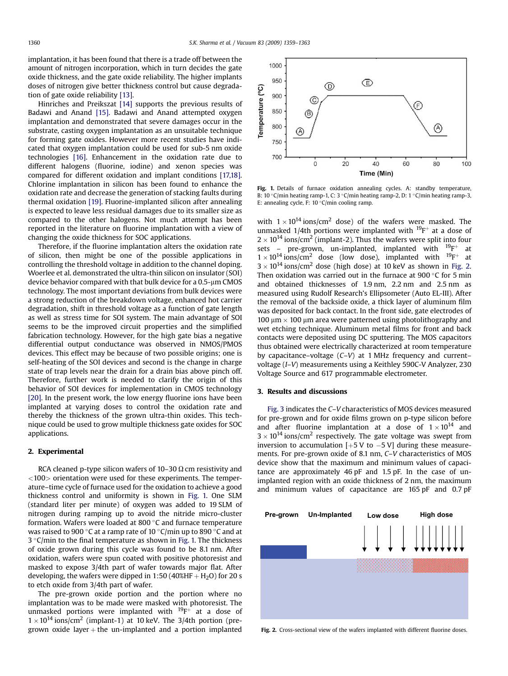implantation, it has been found that there is a trade off between the amount of nitrogen incorporation, which in turn decides the gate oxide thickness, and the gate oxide reliability. The higher implants doses of nitrogen give better thickness control but cause degradation of gate oxide reliability [\[13\]](#page-4-0).

Hinriches and Preikszat [\[14\]](#page-4-0) supports the previous results of Badawi and Anand [\[15\]](#page-4-0). Badawi and Anand attempted oxygen implantation and demonstrated that severe damages occur in the substrate, casting oxygen implantation as an unsuitable technique for forming gate oxides. However more recent studies have indicated that oxygen implantation could be used for sub-5 nm oxide technologies [\[16\].](#page-4-0) Enhancement in the oxidation rate due to different halogens (fluorine, iodine) and xenon species was compared for different oxidation and implant conditions [\[17,18\].](#page-4-0) Chlorine implantation in silicon has been found to enhance the oxidation rate and decrease the generation of stacking faults during thermal oxidation [\[19\].](#page-4-0) Fluorine-implanted silicon after annealing is expected to leave less residual damages due to its smaller size as compared to the other halogens. Not much attempt has been reported in the literature on fluorine implantation with a view of changing the oxide thickness for SOC applications.

Therefore, if the fluorine implantation alters the oxidation rate of silicon, then might be one of the possible applications in controlling the threshold voltage in addition to the channel doping. Woerlee et al. demonstrated the ultra-thin silicon on insulator (SOI) device behavior compared with that bulk device for a 0.5-um CMOS technology. The most important deviations from bulk devices were a strong reduction of the breakdown voltage, enhanced hot carrier degradation, shift in threshold voltage as a function of gate length as well as stress time for SOI system. The main advantage of SOI seems to be the improved circuit properties and the simplified fabrication technology. However, for the high gate bias a negative differential output conductance was observed in NMOS/PMOS devices. This effect may be because of two possible origins; one is self-heating of the SOI devices and second is the change in charge state of trap levels near the drain for a drain bias above pinch off. Therefore, further work is needed to clarify the origin of this behavior of SOI devices for implementation in CMOS technology [\[20\]](#page-4-0). In the present work, the low energy fluorine ions have been implanted at varying doses to control the oxidation rate and thereby the thickness of the grown ultra-thin oxides. This technique could be used to grow multiple thickness gate oxides for SOC applications.

#### 2. Experimental

RCA cleaned p-type silicon wafers of  $10-30 \Omega$  cm resistivity and  $<$ 100 $>$  orientation were used for these experiments. The temperature–time cycle of furnace used for the oxidation to achieve a good thickness control and uniformity is shown in Fig. 1. One SLM (standard liter per minute) of oxygen was added to 19 SLM of nitrogen during ramping up to avoid the nitride micro-cluster formation. Wafers were loaded at 800 $\degree$ C and furnace temperature was raised to 900 °C at a ramp rate of 10 °C/min up to 890 °C and at  $3 °C$ /min to the final temperature as shown in Fig. 1. The thickness of oxide grown during this cycle was found to be 8.1 nm. After oxidation, wafers were spun coated with positive photoresist and masked to expose 3/4th part of wafer towards major flat. After developing, the wafers were dipped in 1:50 (40%HF  $+$  H<sub>2</sub>O) for 20 s to etch oxide from 3/4th part of wafer.

The pre-grown oxide portion and the portion where no implantation was to be made were masked with photoresist. The unmasked portions were implanted with  $^{19}F^+$  at a dose of  $1 \times 10^{14}$  ions/cm<sup>2</sup> (implant-1) at 10 keV. The 3/4th portion (pregrown oxide layer  $+$  the un-implanted and a portion implanted



Fig. 1. Details of furnace oxidation annealing cycles. A: standby temperature, B: 10 °C/min heating ramp-1, C: 3 °C/min heating ramp-2, D: 1 °C/min heating ramp-3, E: annealing cycle, F:  $10 °C/min$  cooling ramp.

with  $1 \times 10^{14}$  ions/cm<sup>2</sup> dose) of the wafers were masked. The unmasked 1/4th portions were implanted with  $^{19}F^+$  at a dose of  $2 \times 10^{14}$  ions/cm<sup>2</sup> (implant-2). Thus the wafers were split into four sets – pre-grown, un-implanted, implanted with  $^{19}F^+$  at  $1 \times 10^{14}$  ions/cm<sup>2</sup> dose (low dose), implanted with  $^{19}$ F<sup>+</sup> at  $3 \times 10^{14}$  ions/cm<sup>2</sup> dose (high dose) at 10 keV as shown in Fig. 2. Then oxidation was carried out in the furnace at 900 $\degree$ C for 5 min and obtained thicknesses of 1.9 nm, 2.2 nm and 2.5 nm as measured using Rudolf Research's Ellipsometer (Auto EL-III). After the removal of the backside oxide, a thick layer of aluminum film was deposited for back contact. In the front side, gate electrodes of 100  $\mu$ m  $\times$  100  $\mu$ m area were patterned using photolithography and wet etching technique. Aluminum metal films for front and back contacts were deposited using DC sputtering. The MOS capacitors thus obtained were electrically characterized at room temperature by capacitance–voltage (C–V) at 1 MHz frequency and current– voltage (I–V) measurements using a Keithley 590C-V Analyzer, 230 Voltage Source and 617 programmable electrometer.

#### 3. Results and discussions

[Fig. 3](#page-2-0) indicates the C–V characteristics of MOS devices measured for pre-grown and for oxide films grown on p-type silicon before and after fluorine implantation at a dose of  $1 \times 10^{14}$  and  $3 \times 10^{14}$  ions/cm<sup>2</sup> respectively. The gate voltage was swept from inversion to accumulation  $[+5 V$  to  $-5 V]$  during these measurements. For pre-grown oxide of 8.1 nm, C–V characteristics of MOS device show that the maximum and minimum values of capacitance are approximately 46 pF and 1.5 pF. In the case of unimplanted region with an oxide thickness of 2 nm, the maximum and minimum values of capacitance are 165 pF and 0.7 pF



Fig. 2. Cross-sectional view of the wafers implanted with different fluorine doses.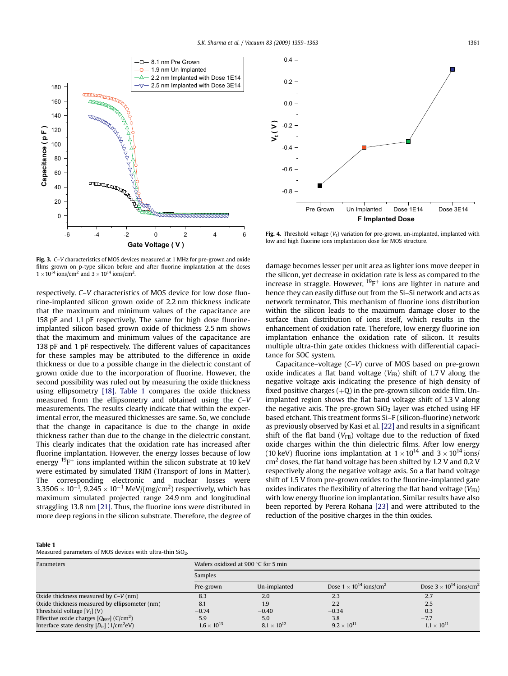<span id="page-2-0"></span>

Fig. 3. C–V characteristics of MOS devices measured at 1 MHz for pre-grown and oxide films grown on p-type silicon before and after fluorine implantation at the doses  $1 \times 10^{14}$  ions/cm<sup>2</sup> and  $3 \times 10^{14}$  ions/cm<sup>2</sup>.

respectively. C–V characteristics of MOS device for low dose fluorine-implanted silicon grown oxide of 2.2 nm thickness indicate that the maximum and minimum values of the capacitance are 158 pF and 1.1 pF respectively. The same for high dose fluorineimplanted silicon based grown oxide of thickness 2.5 nm shows that the maximum and minimum values of the capacitance are 138 pF and 1 pF respectively. The different values of capacitances for these samples may be attributed to the difference in oxide thickness or due to a possible change in the dielectric constant of grown oxide due to the incorporation of fluorine. However, the second possibility was ruled out by measuring the oxide thickness using ellipsometry [\[18\]](#page-4-0). Table 1 compares the oxide thickness measured from the ellipsometry and obtained using the C–V measurements. The results clearly indicate that within the experimental error, the measured thicknesses are same. So, we conclude that the change in capacitance is due to the change in oxide thickness rather than due to the change in the dielectric constant. This clearly indicates that the oxidation rate has increased after fluorine implantation. However, the energy losses because of low energy  $19F^+$  ions implanted within the silicon substrate at 10 keV were estimated by simulated TRIM (Transport of Ions in Matter). The corresponding electronic and nuclear losses were 3.3506  $\times$  10 $^{-1}$ , 9.245  $\times$  10 $^{-1}$  MeV/(mg/cm<sup>2</sup>) respectively, which has maximum simulated projected range 24.9 nm and longitudinal straggling 13.8 nm [\[21\].](#page-4-0) Thus, the fluorine ions were distributed in more deep regions in the silicon substrate. Therefore, the degree of



Fig. 4. Threshold voltage  $(V_t)$  variation for pre-grown, un-implanted, implanted with low and high fluorine ions implantation dose for MOS structure.

damage becomes lesser per unit area as lighter ions move deeper in the silicon, yet decrease in oxidation rate is less as compared to the increase in straggle. However,  $^{19}F^+$  ions are lighter in nature and hence they can easily diffuse out from the Si–Si network and acts as network terminator. This mechanism of fluorine ions distribution within the silicon leads to the maximum damage closer to the surface than distribution of ions itself, which results in the enhancement of oxidation rate. Therefore, low energy fluorine ion implantation enhance the oxidation rate of silicon. It results multiple ultra-thin gate oxides thickness with differential capacitance for SOC system.

Capacitance–voltage (C–V) curve of MOS based on pre-grown oxide indicates a flat band voltage ( $V_{FB}$ ) shift of 1.7 V along the negative voltage axis indicating the presence of high density of fixed positive charges  $(+Q)$  in the pre-grown silicon oxide film. Unimplanted region shows the flat band voltage shift of 1.3 V along the negative axis. The pre-grown  $SiO<sub>2</sub>$  layer was etched using HF based etchant. This treatment forms Si–F (silicon-fluorine) network as previously observed by Kasi et al. [\[22\]](#page-4-0) and results in a significant shift of the flat band  $(V_{FB})$  voltage due to the reduction of fixed oxide charges within the thin dielectric films. After low energy (10 keV) fluorine ions implantation at  $1 \times 10^{14}$  and  $3 \times 10^{14}$  ions/  $cm<sup>2</sup>$  doses, the flat band voltage has been shifted by 1.2 V and 0.2 V respectively along the negative voltage axis. So a flat band voltage shift of 1.5 V from pre-grown oxides to the fluorine-implanted gate oxides indicates the flexibility of altering the flat band voltage  $(V_{FB})$ with low energy fluorine ion implantation. Similar results have also been reported by Perera Rohana [\[23\]](#page-4-0) and were attributed to the reduction of the positive charges in the thin oxides.

#### Table 1

Measured parameters of MOS devices with ultra-thin  $SiO<sub>2</sub>$ .

| Parameters                                                       | Wafers oxidized at 900 °C for 5 min<br>Samples |                      |                                              |                                              |
|------------------------------------------------------------------|------------------------------------------------|----------------------|----------------------------------------------|----------------------------------------------|
|                                                                  |                                                |                      |                                              |                                              |
|                                                                  | Pre-grown                                      | Un-implanted         | Dose $1 \times 10^{14}$ ions/cm <sup>2</sup> | Dose $3 \times 10^{14}$ ions/cm <sup>2</sup> |
| Oxide thickness measured by $C-V(nm)$                            | 8.3                                            | 2.0                  | 2.3                                          | 2.7                                          |
| Oxide thickness measured by ellipsometer (nm)                    | 8.1                                            | 1.9                  | 2.2                                          | 2.5                                          |
| Threshold voltage $[V_t]$ (V)                                    | $-0.74$                                        | $-0.40$              | $-0.34$                                      | 0.3                                          |
| Effective oxide charges $[Q_{\text{EFF}}]$ (C/cm <sup>2</sup> )  | 5.9                                            | 5.0                  | 3.8                                          | $-7.7$                                       |
| Interface state density $[D_{\text{ir}}]$ (1/cm <sup>2</sup> eV) | $1.6 \times 10^{13}$                           | $8.1 \times 10^{12}$ | $9.2 \times 10^{11}$                         | $1.1 \times 10^{11}$                         |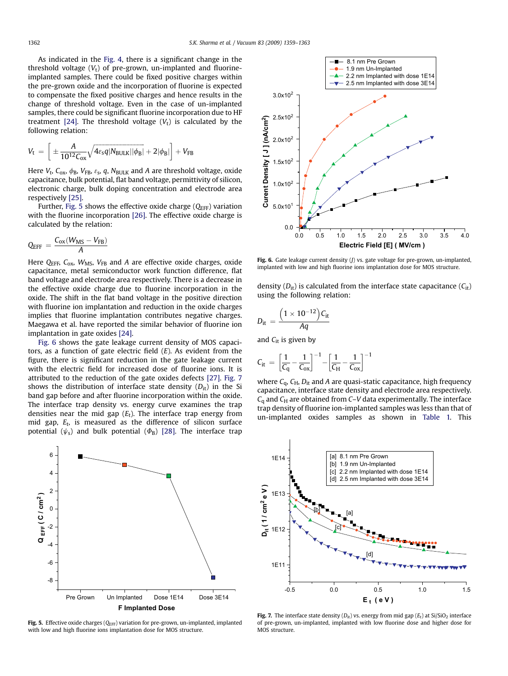As indicated in the [Fig. 4,](#page-2-0) there is a significant change in the threshold voltage  $(V_t)$  of pre-grown, un-implanted and fluorineimplanted samples. There could be fixed positive charges within the pre-grown oxide and the incorporation of fluorine is expected to compensate the fixed positive charges and hence results in the change of threshold voltage. Even in the case of un-implanted samples, there could be significant fluorine incorporation due to HF treatment [\[24\]](#page-4-0). The threshold voltage  $(V_t)$  is calculated by the following relation:

$$
V_t \ = \ \bigg[\pm \frac{A}{10^{12} \text{C}_{ox}} \sqrt{4 \text{e}_\text{s} q |\text{N}_{\text{BULK}}||\phi_\text{B}|} + 2 |\phi_\text{B}|\bigg] + V_{\text{FB}}
$$

Here  $V_t$ ,  $C_{ox}$ ,  $\phi_B$ ,  $V_{FB}$ ,  $\varepsilon_s$ , q,  $N_{BULK}$  and A are threshold voltage, oxide capacitance, bulk potential, flat band voltage, permittivity of silicon, electronic charge, bulk doping concentration and electrode area respectively [\[25\].](#page-4-0)

Further, Fig. 5 shows the effective oxide charge  $(Q<sub>EFF</sub>)$  variation with the fluorine incorporation [\[26\]](#page-4-0). The effective oxide charge is calculated by the relation:

$$
Q_{EFF} = \frac{C_{ox}(W_{MS} - V_{FB})}{A}
$$

Here  $Q_{\text{EFF}}$ ,  $C_{\text{ox}}$ ,  $W_{\text{MS}}$ ,  $V_{\text{FB}}$  and A are effective oxide charges, oxide capacitance, metal semiconductor work function difference, flat band voltage and electrode area respectively. There is a decrease in the effective oxide charge due to fluorine incorporation in the oxide. The shift in the flat band voltage in the positive direction with fluorine ion implantation and reduction in the oxide charges implies that fluorine implantation contributes negative charges. Maegawa et al. have reported the similar behavior of fluorine ion implantation in gate oxides [\[24\].](#page-4-0)

Fig. 6 shows the gate leakage current density of MOS capacitors, as a function of gate electric field  $(E)$ . As evident from the figure, there is significant reduction in the gate leakage current with the electric field for increased dose of fluorine ions. It is attributed to the reduction of the gate oxides defects [\[27\].](#page-4-0) Fig. 7 shows the distribution of interface state density  $(D_{it})$  in the Si band gap before and after fluorine incorporation within the oxide. The interface trap density vs. energy curve examines the trap densities near the mid gap  $(E_t)$ . The interface trap energy from mid gap,  $E_t$ , is measured as the difference of silicon surface potential ( $\psi$ <sub>s</sub>) and bulk potential ( $\Phi$ <sub>B</sub>) [\[28\]](#page-4-0). The interface trap



Fig. 5. Effective oxide charges  $(Q_{\text{EFF}})$  variation for pre-grown, un-implanted, implanted with low and high fluorine ions implantation dose for MOS structure.



Fig. 6. Gate leakage current density  $(J)$  vs. gate voltage for pre-grown, un-implanted, implanted with low and high fluorine ions implantation dose for MOS structure.

density  $(D_{it})$  is calculated from the interface state capacitance  $(C_{it})$ using the following relation:

$$
D_{it} = \frac{\left(1 \times 10^{-12}\right) C_{it}}{Aq}
$$

and  $C_{it}$  is given by

$$
\mathcal{C}_{it}\ =\ \left[\frac{1}{C_q}-\frac{1}{C_{ox}}\right]^{-1}-\left[\frac{1}{C_H}-\frac{1}{C_{ox}}\right]^{-1}
$$

where  $C_q$ ,  $C_H$ ,  $D_H$  and A are quasi-static capacitance, high frequency capacitance, interface state density and electrode area respectively.  $C_q$  and  $C_H$  are obtained from C–V data experimentally. The interface trap density of fluorine ion-implanted samples was less than that of un-implanted oxides samples as shown in [Table 1.](#page-2-0) This



Fig. 7. The interface state density  $(D_{it})$  vs. energy from mid gap  $(E_t)$  at Si/SiO<sub>2</sub> interface of pre-grown, un-implanted, implanted with low fluorine dose and higher dose for MOS structure.